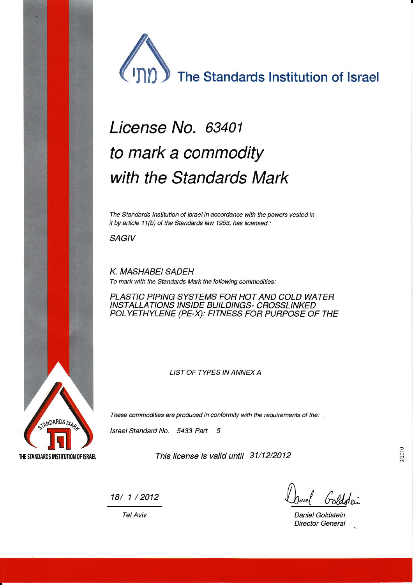

## License No. 63401 to mark a commodity with the Standards Mark

The Standards Institution of Israel in accordance with the powers vested in it by article 11(b) of the Standards law 1953, has licensed :

SAGIV

K. MASHABEISADEH To mark with the Standards Mark the following commodities:

PLASTIC PIPING SYSTEMS FOR HOT AND COLD WATER INSTALLATIONS INSIDE BUILDINGS- CFOSSLINKED POLYETHYLENE (PE-X): FITNESS FOR PURPOSE OF THE

LIST OF TYPES IN ANNEX A

These commodities are produced in conformity with the requirements of the:

lsrael Standard No. 5433 Patt 5

This license is valid until  $31/12/2012$  and  $\frac{5}{2}$ 

18/ 1/2012 Annel Goldstein

Daniel Goldstein Director General



Tel Aviv